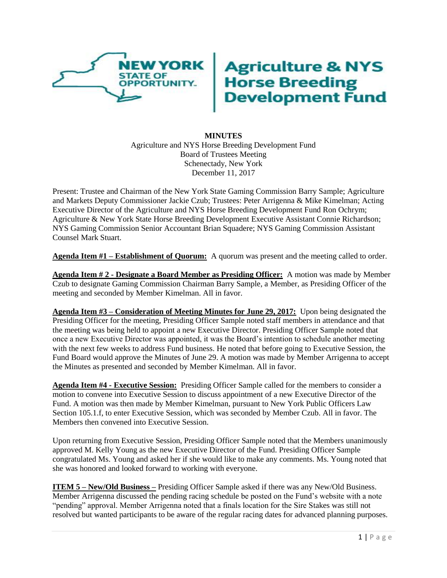

## **Agriculture & NYS<br>Horse Breeding<br>Development Fund**

## **MINUTES** Agriculture and NYS Horse Breeding Development Fund Board of Trustees Meeting Schenectady, New York December 11, 2017

Present: Trustee and Chairman of the New York State Gaming Commission Barry Sample; Agriculture and Markets Deputy Commissioner Jackie Czub; Trustees: Peter Arrigenna & Mike Kimelman; Acting Executive Director of the Agriculture and NYS Horse Breeding Development Fund Ron Ochrym; Agriculture & New York State Horse Breeding Development Executive Assistant Connie Richardson; NYS Gaming Commission Senior Accountant Brian Squadere; NYS Gaming Commission Assistant Counsel Mark Stuart.

**Agenda Item #1 – Establishment of Quorum:** A quorum was present and the meeting called to order.

**Agenda Item # 2 - Designate a Board Member as Presiding Officer:** A motion was made by Member Czub to designate Gaming Commission Chairman Barry Sample, a Member, as Presiding Officer of the meeting and seconded by Member Kimelman. All in favor.

**Agenda Item #3 – Consideration of Meeting Minutes for June 29, 2017:** Upon being designated the Presiding Officer for the meeting, Presiding Officer Sample noted staff members in attendance and that the meeting was being held to appoint a new Executive Director. Presiding Officer Sample noted that once a new Executive Director was appointed, it was the Board's intention to schedule another meeting with the next few weeks to address Fund business. He noted that before going to Executive Session, the Fund Board would approve the Minutes of June 29. A motion was made by Member Arrigenna to accept the Minutes as presented and seconded by Member Kimelman. All in favor.

**Agenda Item #4 - Executive Session:** Presiding Officer Sample called for the members to consider a motion to convene into Executive Session to discuss appointment of a new Executive Director of the Fund. A motion was then made by Member Kimelman, pursuant to New York Public Officers Law Section 105.1.f, to enter Executive Session, which was seconded by Member Czub. All in favor. The Members then convened into Executive Session.

Upon returning from Executive Session, Presiding Officer Sample noted that the Members unanimously approved M. Kelly Young as the new Executive Director of the Fund. Presiding Officer Sample congratulated Ms. Young and asked her if she would like to make any comments. Ms. Young noted that she was honored and looked forward to working with everyone.

**ITEM 5 – New/Old Business –** Presiding Officer Sample asked if there was any New/Old Business. Member Arrigenna discussed the pending racing schedule be posted on the Fund's website with a note "pending" approval. Member Arrigenna noted that a finals location for the Sire Stakes was still not resolved but wanted participants to be aware of the regular racing dates for advanced planning purposes.